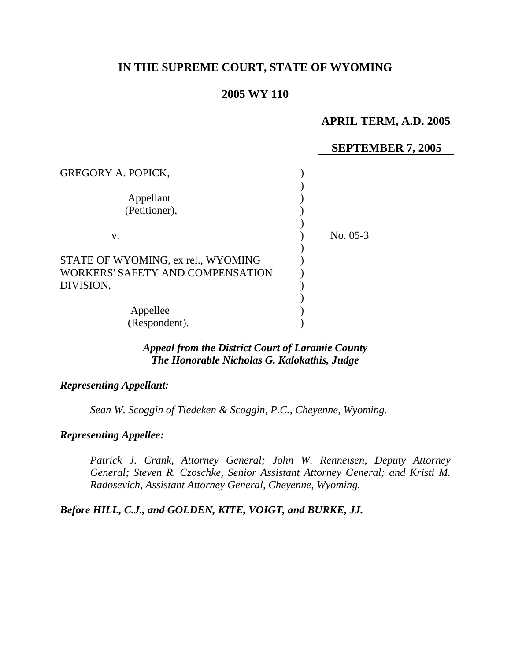# **IN THE SUPREME COURT, STATE OF WYOMING**

# **2005 WY 110**

# **APRIL TERM, A.D. 2005**

## **SEPTEMBER 7, 2005**

| <b>GREGORY A. POPICK,</b>          |            |
|------------------------------------|------------|
| Appellant                          |            |
| (Petitioner),                      |            |
|                                    |            |
| V.                                 | No. $05-3$ |
|                                    |            |
| STATE OF WYOMING, ex rel., WYOMING |            |
| WORKERS' SAFETY AND COMPENSATION   |            |
| DIVISION,                          |            |
|                                    |            |
| Appellee                           |            |
| (Respondent).                      |            |

#### *Appeal from the District Court of Laramie County The Honorable Nicholas G. Kalokathis, Judge*

# *Representing Appellant:*

*Sean W. Scoggin of Tiedeken & Scoggin, P.C., Cheyenne, Wyoming.* 

#### *Representing Appellee:*

*Patrick J. Crank, Attorney General; John W. Renneisen, Deputy Attorney General; Steven R. Czoschke, Senior Assistant Attorney General; and Kristi M. Radosevich, Assistant Attorney General, Cheyenne, Wyoming.*

*Before HILL, C.J., and GOLDEN, KITE, VOIGT, and BURKE, JJ.*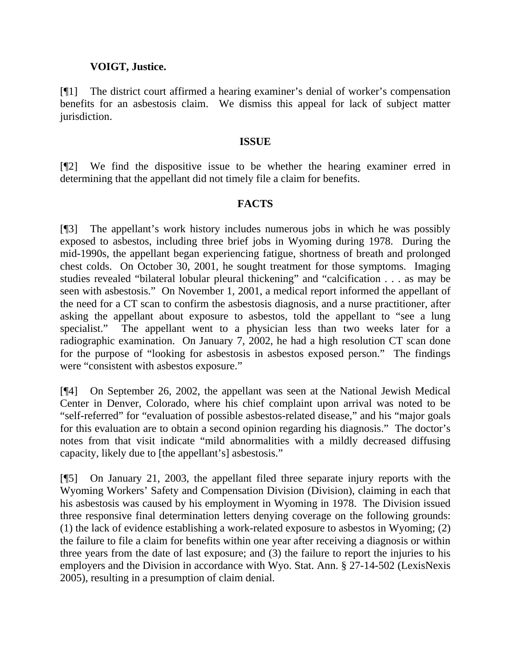## **VOIGT, Justice.**

[¶1] The district court affirmed a hearing examiner's denial of worker's compensation benefits for an asbestosis claim. We dismiss this appeal for lack of subject matter jurisdiction.

#### **ISSUE**

[¶2] We find the dispositive issue to be whether the hearing examiner erred in determining that the appellant did not timely file a claim for benefits.

# **FACTS**

[¶3] The appellant's work history includes numerous jobs in which he was possibly exposed to asbestos, including three brief jobs in Wyoming during 1978. During the mid-1990s, the appellant began experiencing fatigue, shortness of breath and prolonged chest colds. On October 30, 2001, he sought treatment for those symptoms. Imaging studies revealed "bilateral lobular pleural thickening" and "calcification . . . as may be seen with asbestosis." On November 1, 2001, a medical report informed the appellant of the need for a CT scan to confirm the asbestosis diagnosis, and a nurse practitioner, after asking the appellant about exposure to asbestos, told the appellant to "see a lung specialist." The appellant went to a physician less than two weeks later for a radiographic examination. On January 7, 2002, he had a high resolution CT scan done for the purpose of "looking for asbestosis in asbestos exposed person." The findings were "consistent with asbestos exposure."

[¶4] On September 26, 2002, the appellant was seen at the National Jewish Medical Center in Denver, Colorado, where his chief complaint upon arrival was noted to be "self-referred" for "evaluation of possible asbestos-related disease," and his "major goals for this evaluation are to obtain a second opinion regarding his diagnosis." The doctor's notes from that visit indicate "mild abnormalities with a mildly decreased diffusing capacity, likely due to [the appellant's] asbestosis."

[¶5] On January 21, 2003, the appellant filed three separate injury reports with the Wyoming Workers' Safety and Compensation Division (Division), claiming in each that his asbestosis was caused by his employment in Wyoming in 1978. The Division issued three responsive final determination letters denying coverage on the following grounds: (1) the lack of evidence establishing a work-related exposure to asbestos in Wyoming; (2) the failure to file a claim for benefits within one year after receiving a diagnosis or within three years from the date of last exposure; and (3) the failure to report the injuries to his employers and the Division in accordance with Wyo. Stat. Ann. § 27-14-502 (LexisNexis 2005), resulting in a presumption of claim denial.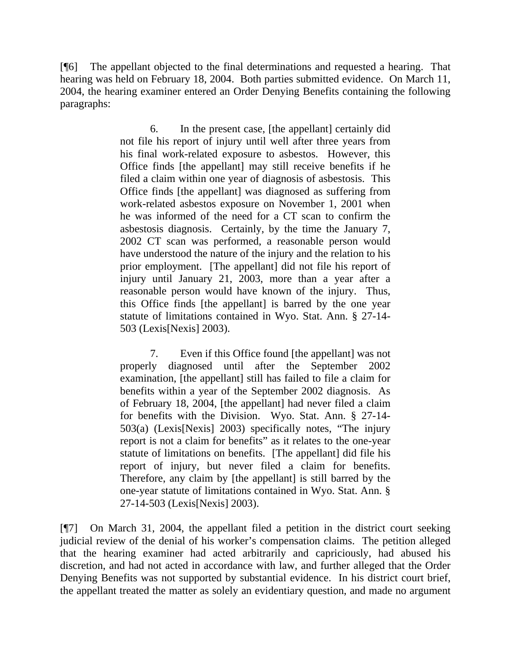[¶6] The appellant objected to the final determinations and requested a hearing. That hearing was held on February 18, 2004. Both parties submitted evidence. On March 11, 2004, the hearing examiner entered an Order Denying Benefits containing the following paragraphs:

> 6. In the present case, [the appellant] certainly did not file his report of injury until well after three years from his final work-related exposure to asbestos. However, this Office finds [the appellant] may still receive benefits if he filed a claim within one year of diagnosis of asbestosis. This Office finds [the appellant] was diagnosed as suffering from work-related asbestos exposure on November 1, 2001 when he was informed of the need for a CT scan to confirm the asbestosis diagnosis. Certainly, by the time the January 7, 2002 CT scan was performed, a reasonable person would have understood the nature of the injury and the relation to his prior employment. [The appellant] did not file his report of injury until January 21, 2003, more than a year after a reasonable person would have known of the injury. Thus, this Office finds [the appellant] is barred by the one year statute of limitations contained in Wyo. Stat. Ann. § 27-14- 503 (Lexis[Nexis] 2003).

> 7. Even if this Office found [the appellant] was not properly diagnosed until after the September 2002 examination, [the appellant] still has failed to file a claim for benefits within a year of the September 2002 diagnosis. As of February 18, 2004, [the appellant] had never filed a claim for benefits with the Division. Wyo. Stat. Ann. § 27-14- 503(a) (Lexis[Nexis] 2003) specifically notes, "The injury report is not a claim for benefits" as it relates to the one-year statute of limitations on benefits. [The appellant] did file his report of injury, but never filed a claim for benefits. Therefore, any claim by [the appellant] is still barred by the one-year statute of limitations contained in Wyo. Stat. Ann. § 27-14-503 (Lexis[Nexis] 2003).

[¶7] On March 31, 2004, the appellant filed a petition in the district court seeking judicial review of the denial of his worker's compensation claims. The petition alleged that the hearing examiner had acted arbitrarily and capriciously, had abused his discretion, and had not acted in accordance with law, and further alleged that the Order Denying Benefits was not supported by substantial evidence. In his district court brief, the appellant treated the matter as solely an evidentiary question, and made no argument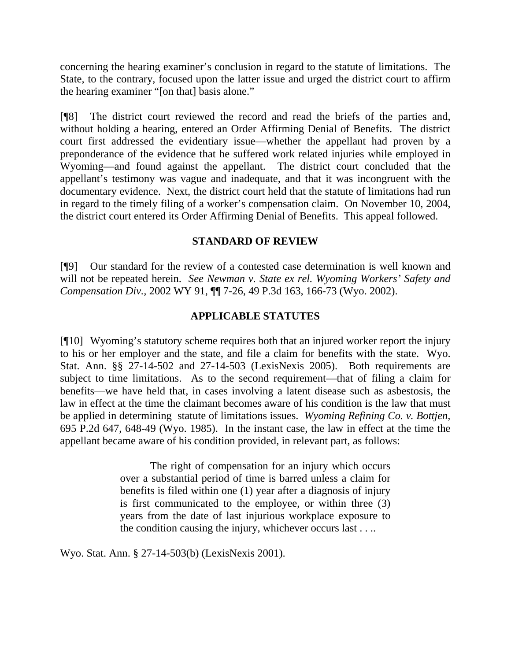concerning the hearing examiner's conclusion in regard to the statute of limitations. The State, to the contrary, focused upon the latter issue and urged the district court to affirm the hearing examiner "[on that] basis alone."

[¶8] The district court reviewed the record and read the briefs of the parties and, without holding a hearing, entered an Order Affirming Denial of Benefits. The district court first addressed the evidentiary issue—whether the appellant had proven by a preponderance of the evidence that he suffered work related injuries while employed in Wyoming—and found against the appellant. The district court concluded that the appellant's testimony was vague and inadequate, and that it was incongruent with the documentary evidence. Next, the district court held that the statute of limitations had run in regard to the timely filing of a worker's compensation claim. On November 10, 2004, the district court entered its Order Affirming Denial of Benefits. This appeal followed.

### **STANDARD OF REVIEW**

[¶9] Our standard for the review of a contested case determination is well known and will not be repeated herein. *See Newman v. State ex rel. Wyoming Workers' Safety and Compensation Div.,* 2002 WY 91, ¶¶ 7-26, 49 P.3d 163, 166-73 (Wyo. 2002).

# **APPLICABLE STATUTES**

[¶10] Wyoming's statutory scheme requires both that an injured worker report the injury to his or her employer and the state, and file a claim for benefits with the state. Wyo. Stat. Ann. §§ 27-14-502 and 27-14-503 (LexisNexis 2005). Both requirements are subject to time limitations. As to the second requirement—that of filing a claim for benefits—we have held that, in cases involving a latent disease such as asbestosis, the law in effect at the time the claimant becomes aware of his condition is the law that must be applied in determining statute of limitations issues. *Wyoming Refining Co. v. Bottjen,*  695 P.2d 647, 648-49 (Wyo. 1985). In the instant case, the law in effect at the time the appellant became aware of his condition provided, in relevant part, as follows:

> The right of compensation for an injury which occurs over a substantial period of time is barred unless a claim for benefits is filed within one (1) year after a diagnosis of injury is first communicated to the employee, or within three (3) years from the date of last injurious workplace exposure to the condition causing the injury, whichever occurs last . . ..

Wyo. Stat. Ann. § 27-14-503(b) (LexisNexis 2001).